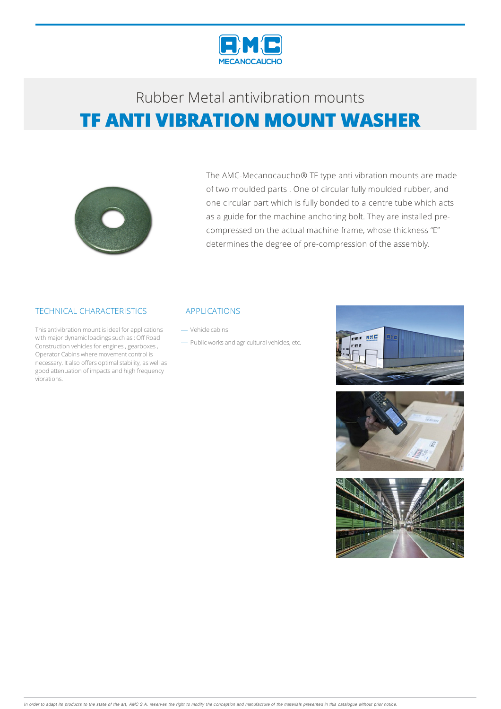

## Rubber Metalantivibration mounts **TF ANTI VIBRATION MOUNT WASHER**



The AMC-Mecanocaucho® TF type anti vibration mounts are made of two moulded parts . One of circular fully moulded rubber, and one circular part which is fully bonded to a centre tube which acts as a guide for the machine anchoring bolt. They are installed precompressed on the actual machine frame, whose thickness "E" determines the degree of pre-compression of the assembly.

### TECHNICAL CHARACTERISTICS

This antivibration mount is ideal for applications with major dynamic loadings such as: Off Road Construction vehicles for engines, gearboxes, Operator Cabins where movement control is necessary. It also offers optimal stability, as well as good attenuation of impacts and high frequency vibrations.

#### APPLICATIONS

Vehicle cabins

- Public works and agricultural vehicles, etc.





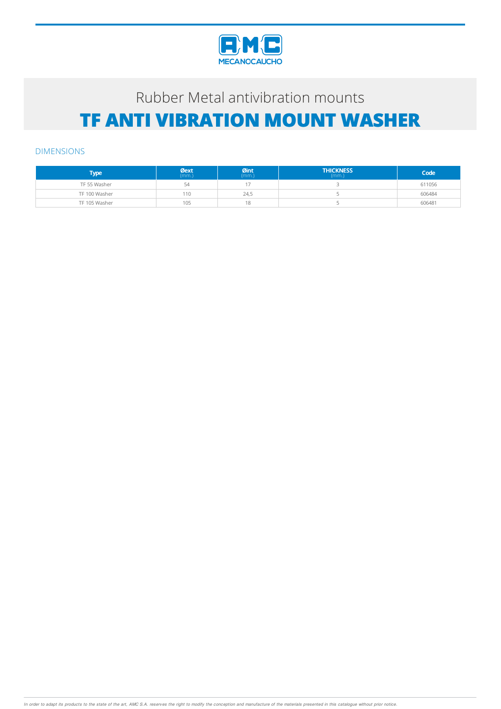

# Rubber Metal antivibration mounts **TF ANTI VIBRATION MOUNT WASHER**

#### DIMENSIONS

| Type          | $Qext$<br>(mm.) | Øint<br>(mm.) | <b>THICKNESS</b><br>(mm) | Code   |
|---------------|-----------------|---------------|--------------------------|--------|
| TF 55 Washer  | 54              |               |                          | 611056 |
| TF 100 Washer | 110             | 24,5          |                          | 606484 |
| TF 105 Washer | 105             | 18            |                          | 606481 |

In order to adapt its products to the state of the art, AMC S.A. reserves the right to modify the conception and manufacture of the materials presented in this catalogue without prior notice.